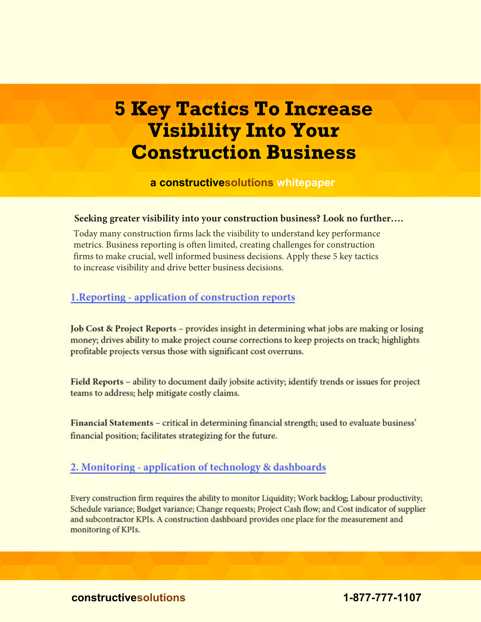# **5 Key Tactics To Increase Visibility Into Your Construction Business**

**a constructivesolutions whitepaper**

#### **Seeking greater visibility into your construction business? Look no further….**

Today many construction firms lack the visibility to understand key performance metrics. Business reporting is often limited, creating challenges for construction firms to make crucial, well informed business decisions. Apply these 5 key tactics to increase visibility and drive better business decisions.

## 1. Reporting - application of construction reports

Job Cost & Project Reports – provides insight in determining what jobs are making or losing money; drives ability to make project course corrections to keep projects on track; highlights profitable projects versus those with significant cost overruns.

Field Reports – ability to document daily jobsite activity; identify trends or issues for project teams to address; help mitigate costly claims.

Financial Statements - critical in determining financial strength; used to evaluate business' financial position; facilitates strategizing for the future.

## 2. Monitoring - application of technology & dashboards

Every construction firm requires the ability to monitor Liquidity; Work backlog; Labour productivity; Schedule variance; Budget variance; Change requests; Project Cash flow; and Cost indicator of supplier and subcontractor KPIs. A construction dashboard provides one place for the measurement and monitoring of KPIs.

**constructivesolutions 1-877-777-1107**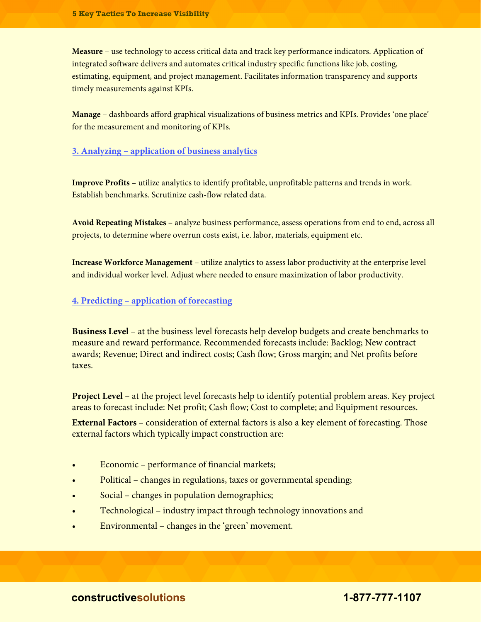**Measure** – use technology to access critical data and track key performance indicators. Application of integrated software delivers and automates critical industry specific functions like job, costing, estimating, equipment, and project management. Facilitates information transparency and supports timely measurements against KPIs.

**Manage** – dashboards afford graphical visualizations of business metrics and KPIs. Provides 'one place' for the measurement and monitoring of KPIs.

#### **3. Analyzing – application of business analytics**

**Improve Profits** – utilize analytics to identify profitable, unprofitable patterns and trends in work. Establish benchmarks. Scrutinize cash-flow related data.

**Avoid Repeating Mistakes** – analyze business performance, assess operations from end to end, across all projects, to determine where overrun costs exist, i.e. labor, materials, equipment etc.

**Increase Workforce Management** – utilize analytics to assess labor productivity at the enterprise level and individual worker level. Adjust where needed to ensure maximization of labor productivity.

#### **4. Predicting – application of forecasting**

**Business Level** – at the business level forecasts help develop budgets and create benchmarks to measure and reward performance. Recommended forecasts include: Backlog; New contract awards; Revenue; Direct and indirect costs; Cash flow; Gross margin; and Net profits before taxes.

**Project Level** – at the project level forecasts help to identify potential problem areas. Key project areas to forecast include: Net profit; Cash flow; Cost to complete; and Equipment resources.

**External Factors** – consideration of external factors is also a key element of forecasting. Those external factors which typically impact construction are:

- Economic performance of financial markets;
- Political changes in regulations, taxes or governmental spending;
- Social changes in population demographics;
- Technological industry impact through technology innovations and
- Environmental changes in the 'green' movement.

**constructivesolutions 1-877-777-1107**